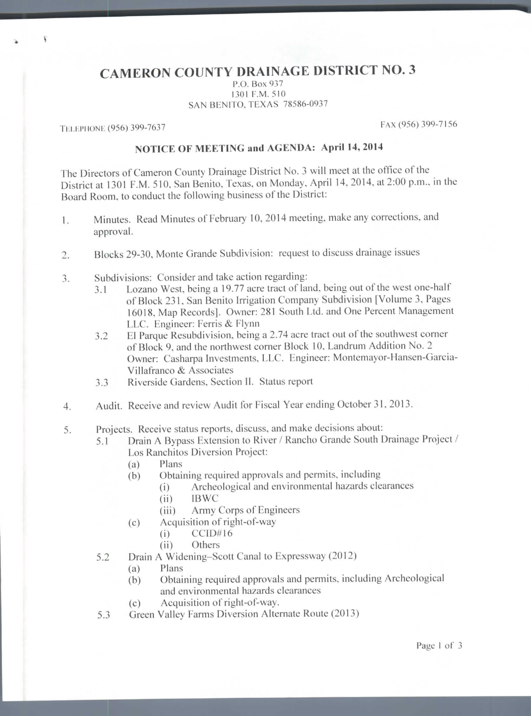## **CAMERON COUNTY DRAINAGE DISTRICT NO. 3**

P.O. Box 937 1301 F.M. 510 SAN BENITO, TEXAS 78586-0937

TELEPHONE (956) 399-7637 FAX (956) 399-7156

## **NOTICE OF MEETING and AGENDA: April 14, 2014**

The Directors of Cameron County Drainage District No. 3 will meet at the office of the District at 1301 F.M. 510, San Benito, Texas, on Monday. April 14. 2014, at 2:00 p.m., in the Board Room, to conduct the following husiness of the District:

- 1. Minutes. Read Minutes of February 10, 2014 meeting, make any corrections, and approval.
- 2. Blocks 29-30, Monte Grande Subdivision: request to discuss drainage issues
- 3. Subdivisions: Consider and take action regarding:
	- 3.1 Lozano West, being a 19.77 acre tract of land, being out of the west one-half of Block 231, San Benito Irrigation Company Subdivision [Volume 3, Pages 16018, Map Recordsj. Owner: 281 South Ltd. and One Percent Management LLC. Engineer: Ferris & Flynn
	- 3.2 HI Parque Resubdivision, being a 2.74 acre tract out of the southwest corner of Block 9, and the northwest corner Block 10, Landrum Addition No. 2 Owner: Casharpa Investments. LLC. Engineer: Montemayor-Hansen-Garcia-Villafranco & Associates
	- 3.3 Riverside Gardens, Section II. Status report
- 4. Audit. Receive and review Audit for Fiscal Year ending October 31. 2013.
- 5. Projects. Receive status reports, discuss, and make decisions about:
	- 5.1 Drain A Bypass Extension to River / Rancho Grande South Drainage Project / Los Ranchitos Diversion Project:
		- (a) Plans
		- (b) Obtaining required approvals and permits, including
			- (i) Archeological and environmental hazards clearances
				- (ii) IBWC
				- (iii) Army Corps of Engineers
		- (c) Acquisition of right-of-way
			- (i) CCID#16
				- (ii) Others
	- 5.2 Drain A Widening-Scott Canal to Expressway (2012)
		- (a) Plans
		- (b) Obtaining required approvals and permits, including Archeological and environmental hazards clearances
		- (c) Acquisition of right-of-way.
	- 5.3 Green Valley Farms Diversion Alternate Route (2013)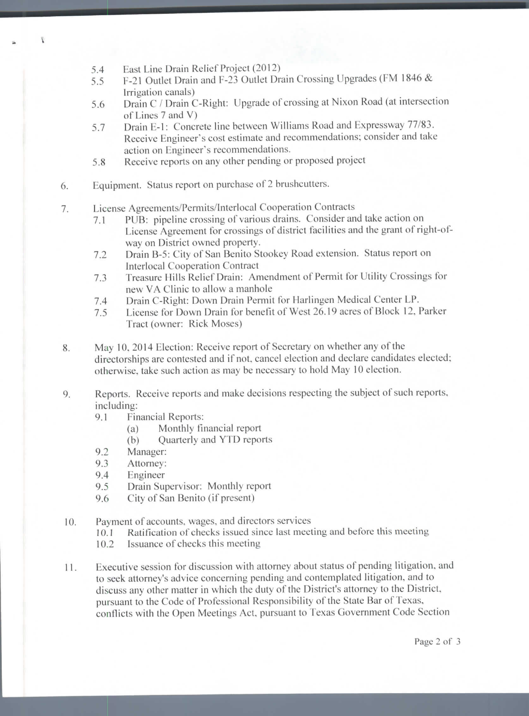5.4 East Line Drain Relief Project (2012)

Ī

- 5.5 F-21 Outlet Drain and F-23 Outlet Drain Crossing Upgrades (FM 1846 & Irrigation canals)
- 5.6 Drain C / Drain C-Right: Upgrade of crossing at Nixon Road (at intersection of Lines 7 and V)
- 5.7 Drain L-l: Concrete line between Williams Road and Expressway 77/83. Receive Engineer's cost estimate and recommendations; consider and take action on Engineer's recommendations.
- 5.8 Receive reports on any other pending or proposed project
- 6. Equipment. Status report on purchase of 2 brushcutters.
- 7. License Agreements/Permits/Interlocal Cooperation Contracts
	- 7.1 PUB: pipeline crossing of various drains. Consider and lake action on License Agreement for crossings of district facilities and the grant of right-ofway on District owned property.
	- 7.2 Drain B-5: City of San Benito Stookey Road extension. Status report on Interlocal Cooperation Contract
	- 7.3 Treasure Hills Relief Drain: Amendment of Permit for Utility Crossings for new VA Clinic to allow a manhole
	- 7.4 Drain C-Right: Down Drain Permit for Harlingen Medical Center LP.
	- 7.5 License for Down Drain for benefit of West 26.19 acres of Block 12, Parker Tract (owner: Rick Moses)
- 8. May 10. 2014 Election: Receive report of Secretary on whether any of the directorships are contested and if not, cancel election and declare candidates elected; otherwise, take such action as may be necessary to hold May 10 election,
- 9. Reports. Receive reports and make decisions respecting the subject of such reports, including:
	- 9.1 Financial Reports:
		- (a) Monthly financial report
		- (b) Quarterly and YTD reports
	- 9.2 Manager:
	- 9.3 Attorney:
	- 9.4 Engineer
	- 9.5 Drain Supervisor: Monthly report
	- 9.6 City of San Benito (if present)
- 10. Payment of accounts, wages, and directors services
	- 10.1 Ratification of checks issued since last meeting and before this meeting
	- 10.2 Issuance of checks this meeting
- 11. Executive session for discussion with attorney about status of pending litigation, and to seek attorney's advice concerning pending and contemplated litigation, and to discuss any other matter in which the duty of the District's attorney to the District, pursuant to the Code of Professional Responsibility of the Slate Bar of Texas, conflicts with the Open Meetings Act. pursuant to Texas Government Code Section